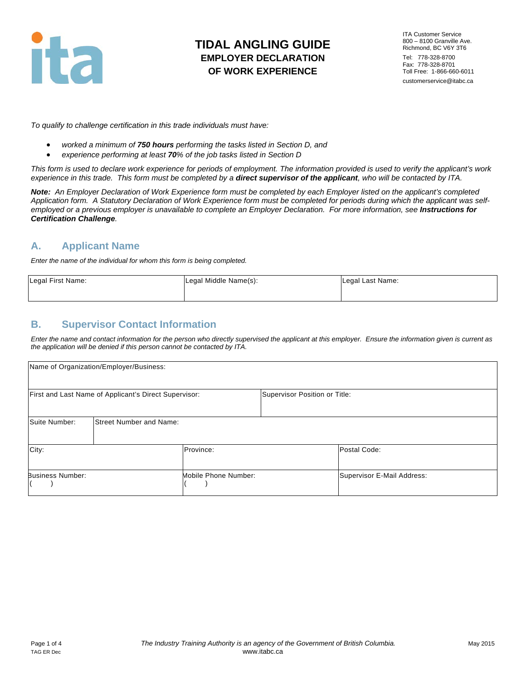

# **TIDAL ANGLING GUIDE EMPLOYER DECLARATION OF WORK EXPERIENCE**

ITA Customer Service 800 – 8100 Granville Ave. Richmond, BC V6Y 3T6 Tel: 778-328-8700 Fax: 778-328-8701 Toll Free: 1-866-660-6011 customerservice@itabc.ca

*To qualify to challenge certification in this trade individuals must have:* 

- *worked a minimum of 750 hours performing the tasks listed in Section D, and*
- *experience performing at least 70% of the job tasks listed in Section D*

*This form is used to declare work experience for periods of employment. The information provided is used to verify the applicant's work experience in this trade. This form must be completed by a direct supervisor of the applicant, who will be contacted by ITA.*

*Note: An Employer Declaration of Work Experience form must be completed by each Employer listed on the applicant's completed Application form. A Statutory Declaration of Work Experience form must be completed for periods during which the applicant was self*employed or a previous employer is unavailable to complete an Employer Declaration. For more information, see **Instructions for** *Certification Challenge.* 

## **A. Applicant Name**

*Enter the name of the individual for whom this form is being completed.*

| Legal First Name: | Legal Middle Name(s): | Legal Last Name: |
|-------------------|-----------------------|------------------|
|                   |                       |                  |

### **B. Supervisor Contact Information**

*Enter the name and contact information for the person who directly supervised the applicant at this employer. Ensure the information given is current as the application will be denied if this person cannot be contacted by ITA.* 

| Name of Organization/Employer/Business:               |                                |                      |                               |                            |
|-------------------------------------------------------|--------------------------------|----------------------|-------------------------------|----------------------------|
| First and Last Name of Applicant's Direct Supervisor: |                                |                      | Supervisor Position or Title: |                            |
| Suite Number:                                         | <b>Street Number and Name:</b> |                      |                               |                            |
| City:                                                 |                                | Province:            |                               | Postal Code:               |
| <b>Business Number:</b>                               |                                | Mobile Phone Number: |                               | Supervisor E-Mail Address: |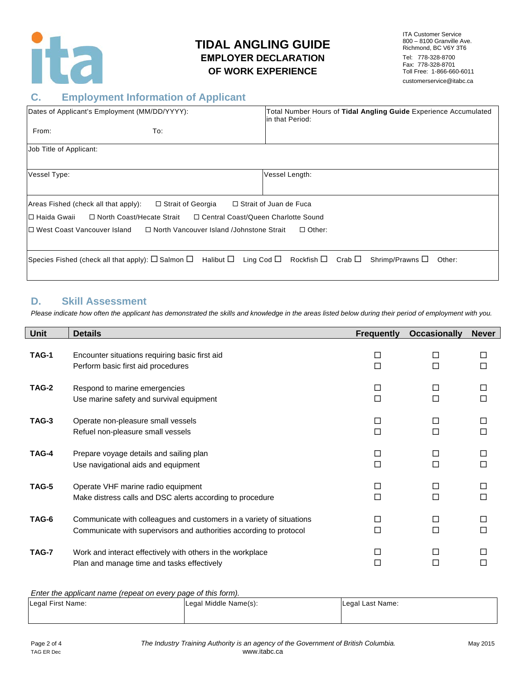

# **TIDAL ANGLING GUIDE EMPLOYER DECLARATION OF WORK EXPERIENCE**

ITA Customer Service 800 – 8100 Granville Ave. Richmond, BC V6Y 3T6 Tel: 778-328-8700 Fax: 778-328-8701 Toll Free: 1-866-660-6011 customerservice@itabc.ca

### **C. Employment Information of Applicant**

| Dates of Applicant's Employment (MM/DD/YYYY):                                                 |                                                                                                                                                                  | Total Number Hours of Tidal Angling Guide Experience Accumulated<br>in that Period: |  |  |
|-----------------------------------------------------------------------------------------------|------------------------------------------------------------------------------------------------------------------------------------------------------------------|-------------------------------------------------------------------------------------|--|--|
| From:                                                                                         | To:                                                                                                                                                              |                                                                                     |  |  |
| Job Title of Applicant:                                                                       |                                                                                                                                                                  |                                                                                     |  |  |
| Vessel Type:                                                                                  |                                                                                                                                                                  | Vessel Length:                                                                      |  |  |
| Areas Fished (check all that apply):<br>I⊡ Haida Gwaii                                        | □ Strait of Georgia<br>□ North Coast/Hecate Strait<br>□ Central Coast/Queen Charlotte Sound                                                                      | □ Strait of Juan de Fuca                                                            |  |  |
| I⊡ West Coast Vancouver Island<br>□ North Vancouver Island /Johnstone Strait<br>$\Box$ Other: |                                                                                                                                                                  |                                                                                     |  |  |
|                                                                                               | Species Fished (check all that apply): $\square$ Salmon $\square$ Halibut $\square$ Ling Cod $\square$ Rockfish $\square$ Crab $\square$ Shrimp/Prawns $\square$ | Other:                                                                              |  |  |

#### **D. Skill Assessment**

*Please indicate how often the applicant has demonstrated the skills and knowledge in the areas listed below during their period of employment with you.*

| <b>Unit</b>  | <b>Details</b>                                                                                                                             | <b>Frequently</b> | <b>Occasionally</b> | <b>Never</b> |
|--------------|--------------------------------------------------------------------------------------------------------------------------------------------|-------------------|---------------------|--------------|
| TAG-1        | Encounter situations requiring basic first aid<br>Perform basic first aid procedures                                                       | □<br>□            | □<br>П              |              |
| <b>TAG-2</b> | Respond to marine emergencies<br>Use marine safety and survival equipment                                                                  | П<br>П            | $\Box$<br>$\Box$    | П            |
| TAG-3        | Operate non-pleasure small vessels<br>Refuel non-pleasure small vessels                                                                    | П<br>П            | $\Box$<br>$\Box$    | П            |
| TAG-4        | Prepare voyage details and sailing plan<br>Use navigational aids and equipment                                                             | П<br>П            | □<br>$\Box$         | П            |
| TAG-5        | Operate VHF marine radio equipment<br>Make distress calls and DSC alerts according to procedure                                            | П                 | □<br>П              | П            |
| TAG-6        | Communicate with colleagues and customers in a variety of situations<br>Communicate with supervisors and authorities according to protocol | П                 | П                   | П            |
| TAG-7        | Work and interact effectively with others in the workplace<br>Plan and manage time and tasks effectively                                   | П                 | П                   |              |

*Enter the applicant name (repeat on every page of this form).*

| Legal First Name: | Legal Middle Name(s): | Legal Last Name: |
|-------------------|-----------------------|------------------|
|                   |                       |                  |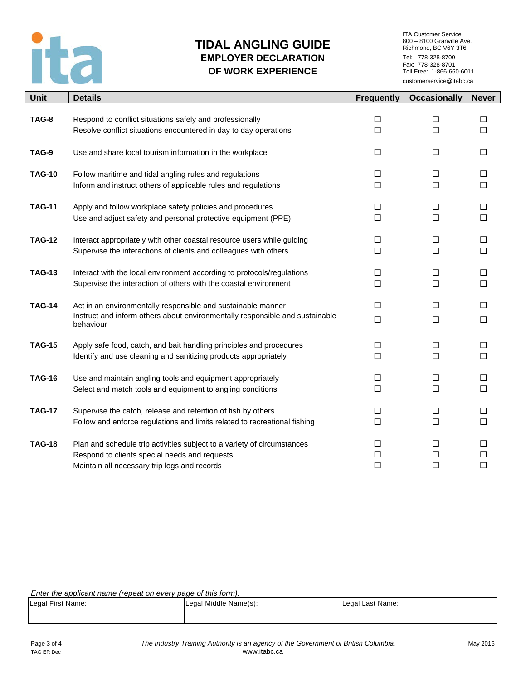

# **TIDAL ANGLING GUIDE EMPLOYER DECLARATION OF WORK EXPERIENCE**

ITA Customer Service 800 – 8100 Granville Ave. Richmond, BC V6Y 3T6 Tel: 778-328-8700 Fax: 778-328-8701 Toll Free: 1-866-660-6011 customerservice@itabc.ca

| <b>Unit</b>   | <b>Details</b>                                                                                                                                            | <b>Frequently</b> | <b>Occasionally</b> | <b>Never</b>     |
|---------------|-----------------------------------------------------------------------------------------------------------------------------------------------------------|-------------------|---------------------|------------------|
| TAG-8         | Respond to conflict situations safely and professionally                                                                                                  | □                 | □                   | □                |
|               | Resolve conflict situations encountered in day to day operations                                                                                          | П                 | $\Box$              | □                |
| TAG-9         | Use and share local tourism information in the workplace                                                                                                  | $\Box$            | $\Box$              | $\Box$           |
| <b>TAG-10</b> | Follow maritime and tidal angling rules and regulations                                                                                                   | □                 | □                   | □                |
|               | Inform and instruct others of applicable rules and regulations                                                                                            | $\Box$            | $\Box$              | $\Box$           |
| <b>TAG-11</b> | Apply and follow workplace safety policies and procedures                                                                                                 | $\Box$            | $\Box$              | $\Box$           |
|               | Use and adjust safety and personal protective equipment (PPE)                                                                                             | $\Box$            | $\Box$              | $\Box$           |
| <b>TAG-12</b> | Interact appropriately with other coastal resource users while guiding                                                                                    | □                 | □                   | $\Box$           |
|               | Supervise the interactions of clients and colleagues with others                                                                                          | П                 | $\Box$              | $\Box$           |
| <b>TAG-13</b> | Interact with the local environment according to protocols/regulations                                                                                    | □                 | $\Box$              | $\Box$           |
|               | Supervise the interaction of others with the coastal environment                                                                                          | $\Box$            | $\Box$              | $\Box$           |
| <b>TAG-14</b> | Act in an environmentally responsible and sustainable manner<br>Instruct and inform others about environmentally responsible and sustainable<br>behaviour | $\Box$<br>$\Box$  | $\Box$<br>$\Box$    | $\Box$<br>$\Box$ |
| <b>TAG-15</b> | Apply safe food, catch, and bait handling principles and procedures                                                                                       | □                 | □                   | □                |
|               | Identify and use cleaning and sanitizing products appropriately                                                                                           | $\Box$            | $\Box$              | $\Box$           |
| <b>TAG-16</b> | Use and maintain angling tools and equipment appropriately                                                                                                | $\Box$            | $\Box$              | $\Box$           |
|               | Select and match tools and equipment to angling conditions                                                                                                | $\Box$            | $\Box$              | $\Box$           |
| <b>TAG-17</b> | Supervise the catch, release and retention of fish by others                                                                                              | □                 | □                   | $\Box$           |
|               | Follow and enforce regulations and limits related to recreational fishing                                                                                 | П                 | $\Box$              | $\Box$           |
| <b>TAG-18</b> | Plan and schedule trip activities subject to a variety of circumstances                                                                                   | □                 | $\Box$              | $\Box$           |
|               | Respond to clients special needs and requests                                                                                                             | □                 | □                   | $\Box$           |
|               | Maintain all necessary trip logs and records                                                                                                              | □                 | $\Box$              | $\Box$           |

*Enter the applicant name (repeat on every page of this form).*

| Legal First Name: | Legal Middle Name(s): | Legal Last Name: |
|-------------------|-----------------------|------------------|
|                   |                       |                  |